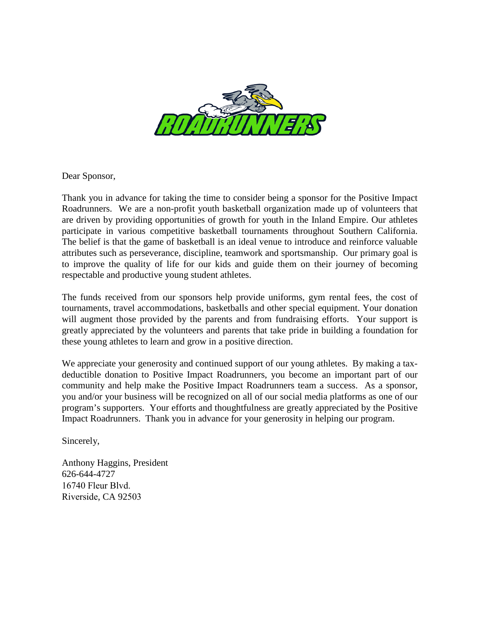

Dear Sponsor,

Thank you in advance for taking the time to consider being a sponsor for the Positive Impact Roadrunners. We are a non-profit youth basketball organization made up of volunteers that are driven by providing opportunities of growth for youth in the Inland Empire. Our athletes participate in various competitive basketball tournaments throughout Southern California. The belief is that the game of basketball is an ideal venue to introduce and reinforce valuable attributes such as perseverance, discipline, teamwork and sportsmanship. Our primary goal is to improve the quality of life for our kids and guide them on their journey of becoming respectable and productive young student athletes.

The funds received from our sponsors help provide uniforms, gym rental fees, the cost of tournaments, travel accommodations, basketballs and other special equipment. Your donation will augment those provided by the parents and from fundraising efforts. Your support is greatly appreciated by the volunteers and parents that take pride in building a foundation for these young athletes to learn and grow in a positive direction.

We appreciate your generosity and continued support of our young athletes. By making a taxdeductible donation to Positive Impact Roadrunners, you become an important part of our community and help make the Positive Impact Roadrunners team a success. As a sponsor, you and/or your business will be recognized on all of our social media platforms as one of our program's supporters. Your efforts and thoughtfulness are greatly appreciated by the Positive Impact Roadrunners. Thank you in advance for your generosity in helping our program.

Sincerely,

Anthony Haggins, President 626-644-4727 16740 Fleur Blvd. Riverside, CA 92503